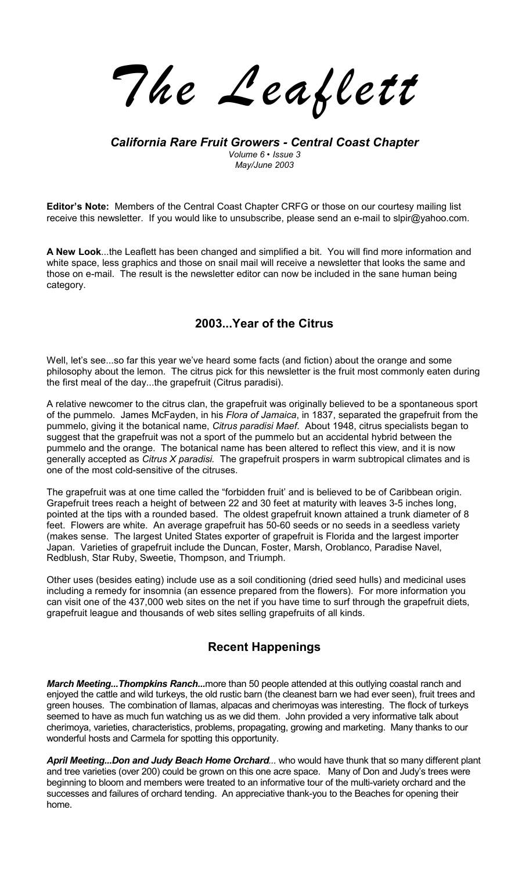*The Leaflett*

### *California Rare Fruit Growers - Central Coast Chapter Volume 6 ï Issue 3 May/June 2003*

**Editorís Note:** Members of the Central Coast Chapter CRFG or those on our courtesy mailing list receive this newsletter. If you would like to unsubscribe, please send an e-mail to slpir@yahoo.com.

**A New Look**...the Leaflett has been changed and simplified a bit. You will find more information and white space, less graphics and those on snail mail will receive a newsletter that looks the same and those on e-mail. The result is the newsletter editor can now be included in the sane human being category.

# **2003...Year of the Citrus**

Well, let's see...so far this year we've heard some facts (and fiction) about the orange and some philosophy about the lemon. The citrus pick for this newsletter is the fruit most commonly eaten during the first meal of the day...the grapefruit (Citrus paradisi).

A relative newcomer to the citrus clan, the grapefruit was originally believed to be a spontaneous sport of the pummelo. James McFayden, in his *Flora of Jamaica*, in 1837, separated the grapefruit from the pummelo, giving it the botanical name, *Citrus paradisi Maef*. About 1948, citrus specialists began to suggest that the grapefruit was not a sport of the pummelo but an accidental hybrid between the pummelo and the orange. The botanical name has been altered to reflect this view, and it is now generally accepted as *Citrus X paradisi.* The grapefruit prospers in warm subtropical climates and is one of the most cold-sensitive of the citruses.

The grapefruit was at one time called the "forbidden fruit' and is believed to be of Caribbean origin. Grapefruit trees reach a height of between 22 and 30 feet at maturity with leaves 3-5 inches long, pointed at the tips with a rounded based. The oldest grapefruit known attained a trunk diameter of 8 feet. Flowers are white. An average grapefruit has 50-60 seeds or no seeds in a seedless variety (makes sense. The largest United States exporter of grapefruit is Florida and the largest importer Japan. Varieties of grapefruit include the Duncan, Foster, Marsh, Oroblanco, Paradise Navel, Redblush, Star Ruby, Sweetie, Thompson, and Triumph.

Other uses (besides eating) include use as a soil conditioning (dried seed hulls) and medicinal uses including a remedy for insomnia (an essence prepared from the flowers). For more information you can visit one of the 437,000 web sites on the net if you have time to surf through the grapefruit diets, grapefruit league and thousands of web sites selling grapefruits of all kinds.

# **Recent Happenings**

*March Meeting...Thompkins Ranch...*more than 50 people attended at this outlying coastal ranch and enjoyed the cattle and wild turkeys, the old rustic barn (the cleanest barn we had ever seen), fruit trees and green houses. The combination of llamas, alpacas and cherimoyas was interesting. The flock of turkeys seemed to have as much fun watching us as we did them. John provided a very informative talk about cherimoya, varieties, characteristics, problems, propagating, growing and marketing. Many thanks to our wonderful hosts and Carmela for spotting this opportunity.

*April Meeting...Don and Judy Beach Home Orchard...* who would have thunk that so many different plant and tree varieties (over 200) could be grown on this one acre space. Many of Don and Judy's trees were beginning to bloom and members were treated to an informative tour of the multi-variety orchard and the successes and failures of orchard tending. An appreciative thank-you to the Beaches for opening their home.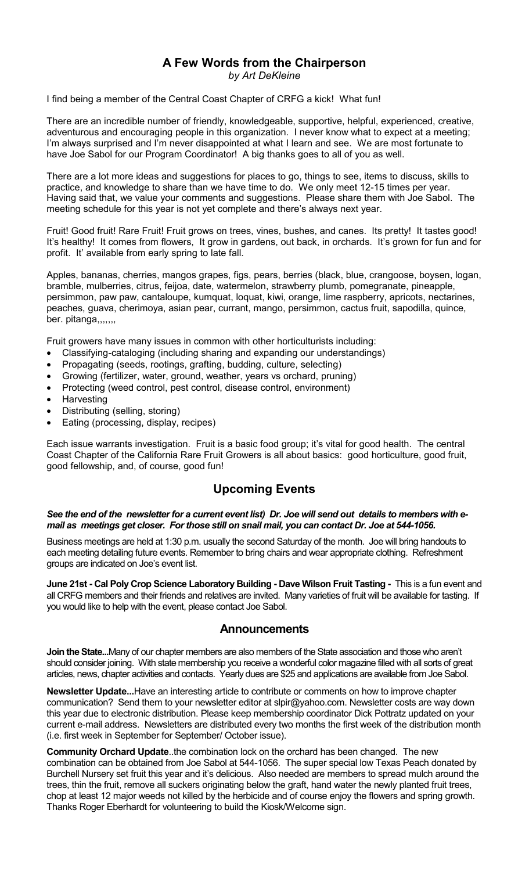### **A Few Words from the Chairperson**  *by Art DeKleine*

I find being a member of the Central Coast Chapter of CRFG a kick! What fun!

There are an incredible number of friendly, knowledgeable, supportive, helpful, experienced, creative, adventurous and encouraging people in this organization. I never know what to expect at a meeting; I'm always surprised and I'm never disappointed at what I learn and see. We are most fortunate to have Joe Sabol for our Program Coordinator! A big thanks goes to all of you as well.

There are a lot more ideas and suggestions for places to go, things to see, items to discuss, skills to practice, and knowledge to share than we have time to do. We only meet 12-15 times per year. Having said that, we value your comments and suggestions. Please share them with Joe Sabol. The meeting schedule for this year is not yet complete and there's always next year.

Fruit! Good fruit! Rare Fruit! Fruit grows on trees, vines, bushes, and canes. Its pretty! It tastes good! It's healthy! It comes from flowers, It grow in gardens, out back, in orchards. It's grown for fun and for profit. It' available from early spring to late fall.

Apples, bananas, cherries, mangos grapes, figs, pears, berries (black, blue, crangoose, boysen, logan, bramble, mulberries, citrus, feijoa, date, watermelon, strawberry plumb, pomegranate, pineapple, persimmon, paw paw, cantaloupe, kumquat, loquat, kiwi, orange, lime raspberry, apricots, nectarines, peaches, guava, cherimoya, asian pear, currant, mango, persimmon, cactus fruit, sapodilla, quince, ber. pitanga,,,,,,,

Fruit growers have many issues in common with other horticulturists including:

- Classifying-cataloging (including sharing and expanding our understandings)
- Propagating (seeds, rootings, grafting, budding, culture, selecting)
- Growing (fertilizer, water, ground, weather, years vs orchard, pruning)
- Protecting (weed control, pest control, disease control, environment)
- **Harvesting**
- Distributing (selling, storing)
- Eating (processing, display, recipes)

Each issue warrants investigation. Fruit is a basic food group; it's vital for good health. The central Coast Chapter of the California Rare Fruit Growers is all about basics: good horticulture, good fruit, good fellowship, and, of course, good fun!

## **Upcoming Events**

#### *See the end of the newsletter for a current event list) Dr. Joe will send out details to members with email as meetings get closer. For those still on snail mail, you can contact Dr. Joe at 544-1056.*

Business meetings are held at 1:30 p.m. usually the second Saturday of the month. Joe will bring handouts to each meeting detailing future events. Remember to bring chairs and wear appropriate clothing. Refreshment groups are indicated on Joe's event list.

**June 21st - Cal Poly Crop Science Laboratory Building - Dave Wilson Fruit Tasting - This is a fun event and** all CRFG members and their friends and relatives are invited. Many varieties of fruit will be available for tasting. If you would like to help with the event, please contact Joe Sabol.

### **Announcements**

**Join the State...**Many of our chapter members are also members of the State association and those who aren't should consider joining. With state membership you receive a wonderful color magazine filled with all sorts of great articles, news, chapter activities and contacts. Yearly dues are \$25 and applications are available from Joe Sabol.

**Newsletter Update...**Have an interesting article to contribute or comments on how to improve chapter communication? Send them to your newsletter editor at slpir@yahoo.com. Newsletter costs are way down this year due to electronic distribution. Please keep membership coordinator Dick Pottratz updated on your current e-mail address. Newsletters are distributed every two months the first week of the distribution month (i.e. first week in September for September/ October issue).

**Community Orchard Update**..the combination lock on the orchard has been changed. The new combination can be obtained from Joe Sabol at 544-1056. The super special low Texas Peach donated by Burchell Nursery set fruit this year and it's delicious. Also needed are members to spread mulch around the trees, thin the fruit, remove all suckers originating below the graft, hand water the newly planted fruit trees, chop at least 12 major weeds not killed by the herbicide and of course enjoy the flowers and spring growth. Thanks Roger Eberhardt for volunteering to build the Kiosk/Welcome sign.